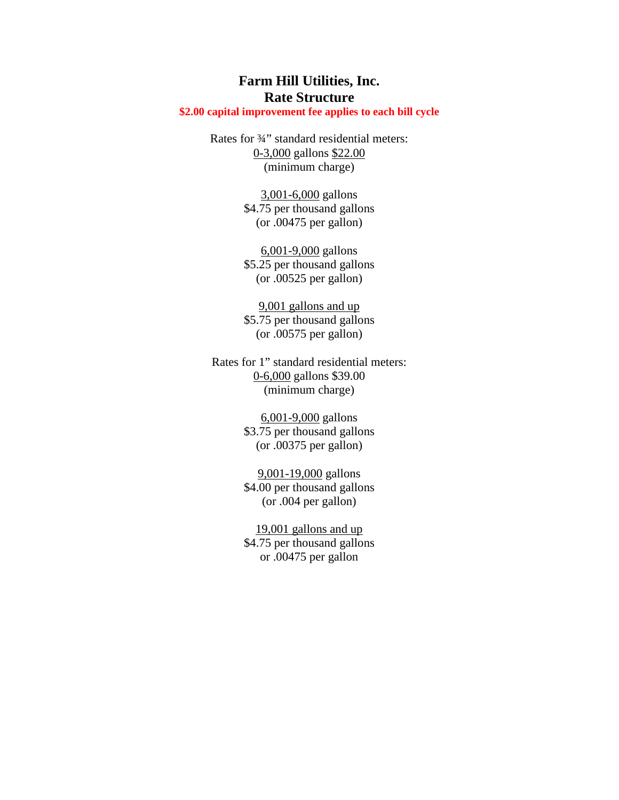## **Farm Hill Utilities, Inc. Rate Structure**

## **\$2.00 capital improvement fee applies to each bill cycle**

Rates for ¾" standard residential meters: 0-3,000 gallons \$22.00 (minimum charge)

> 3,001-6,000 gallons \$4.75 per thousand gallons (or .00475 per gallon)

> 6,001-9,000 gallons \$5.25 per thousand gallons (or .00525 per gallon)

> 9,001 gallons and up \$5.75 per thousand gallons (or .00575 per gallon)

Rates for 1" standard residential meters: 0-6,000 gallons \$39.00 (minimum charge)

> 6,001-9,000 gallons \$3.75 per thousand gallons (or .00375 per gallon)

> 9,001-19,000 gallons \$4.00 per thousand gallons (or .004 per gallon)

> 19,001 gallons and up \$4.75 per thousand gallons or .00475 per gallon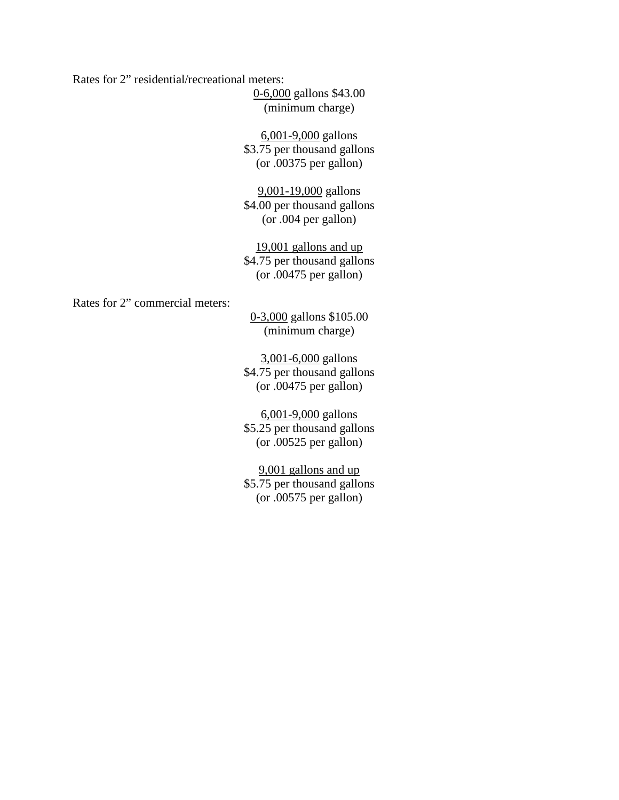Rates for 2" residential/recreational meters:

0-6,000 gallons \$43.00 (minimum charge)

6,001-9,000 gallons \$3.75 per thousand gallons (or .00375 per gallon)

9,001-19,000 gallons \$4.00 per thousand gallons (or .004 per gallon)

19,001 gallons and up \$4.75 per thousand gallons (or .00475 per gallon)

Rates for 2" commercial meters:

0-3,000 gallons \$105.00 (minimum charge)

3,001-6,000 gallons \$4.75 per thousand gallons (or .00475 per gallon)

6,001-9,000 gallons \$5.25 per thousand gallons (or .00525 per gallon)

9,001 gallons and up \$5.75 per thousand gallons (or .00575 per gallon)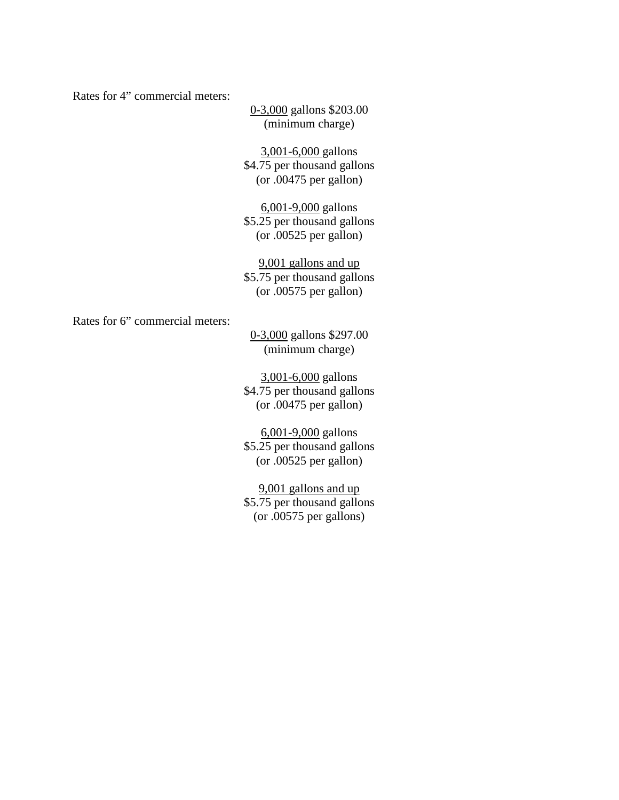Rates for 4" commercial meters:

0-3,000 gallons \$203.00 (minimum charge)

3,001-6,000 gallons \$4.75 per thousand gallons (or .00475 per gallon)

6,001-9,000 gallons \$5.25 per thousand gallons (or .00525 per gallon)

9,001 gallons and up \$5.75 per thousand gallons (or .00575 per gallon)

Rates for 6" commercial meters:

0-3,000 gallons \$297.00 (minimum charge)

3,001-6,000 gallons \$4.75 per thousand gallons (or .00475 per gallon)

6,001-9,000 gallons \$5.25 per thousand gallons (or .00525 per gallon)

9,001 gallons and up \$5.75 per thousand gallons (or .00575 per gallons)